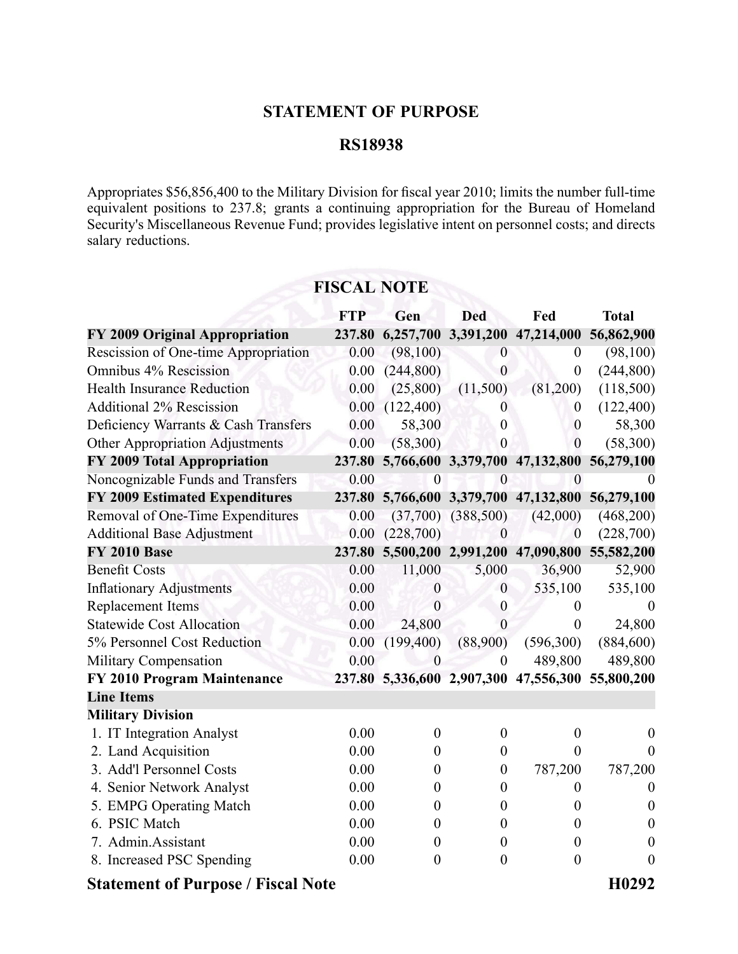## **STATEMENT OF PURPOSE**

## **RS18938**

Appropriates \$56,856,400 to the Military Division for fiscal year 2010; limits the number full-time equivalent positions to 237.8; grants <sup>a</sup> continuing appropriation for the Bureau of Homeland Security's Miscellaneous Revenue Fund; provides legislative intent on personnel costs; and directs salary reductions.

|                                           | <b>FTP</b> | Gen              | <b>Ded</b>             | Fed                                   | <b>Total</b>      |
|-------------------------------------------|------------|------------------|------------------------|---------------------------------------|-------------------|
| FY 2009 Original Appropriation            | 237.80     | 6,257,700        |                        | 3,391,200 47,214,000                  | 56,862,900        |
| Rescission of One-time Appropriation      | 0.00       | (98,100)         | $\boldsymbol{0}$       | $\boldsymbol{0}$                      | (98,100)          |
| Omnibus 4% Rescission                     | 0.00       | (244, 800)       | $\theta$               | $\overline{0}$                        | (244, 800)        |
| <b>Health Insurance Reduction</b>         | 0.00       | (25,800)         | (11,500)               | (81,200)                              | (118,500)         |
| <b>Additional 2% Rescission</b>           | 0.00       | (122,400)        | $\overline{0}$         | $\theta$                              | (122, 400)        |
| Deficiency Warrants & Cash Transfers      | 0.00       | 58,300           | $\theta$               | $\boldsymbol{0}$                      | 58,300            |
| Other Appropriation Adjustments           | 0.00       | (58,300)         | $\boldsymbol{0}$       | $\mathbf{0}$                          | (58,300)          |
| FY 2009 Total Appropriation               | 237.80     |                  |                        | 5,766,600 3,379,700 47,132,800        | 56,279,100        |
| Noncognizable Funds and Transfers         | 0.00       | $\theta$         | $\theta$               | $\boldsymbol{0}$                      |                   |
| <b>FY 2009 Estimated Expenditures</b>     |            |                  |                        | 237.80 5,766,600 3,379,700 47,132,800 | 56,279,100        |
| Removal of One-Time Expenditures          | 0.00       |                  | $(37,700)$ $(388,500)$ | (42,000)                              | (468,200)         |
| <b>Additional Base Adjustment</b>         | 0.00       | (228,700)        | $\mathbf{0}$           | $\boldsymbol{0}$                      | (228,700)         |
| <b>FY 2010 Base</b>                       | 237.80     |                  |                        | 5,500,200 2,991,200 47,090,800        | 55,582,200        |
| <b>Benefit Costs</b>                      | 0.00       | 11,000           | 5,000                  | 36,900                                | 52,900            |
| <b>Inflationary Adjustments</b>           | 0.00       | $\boldsymbol{0}$ | $\overline{0}$         | 535,100                               | 535,100           |
| Replacement Items                         | 0.00       | $\overline{0}$   | $\boldsymbol{0}$       | $\boldsymbol{0}$                      | $\theta$          |
| <b>Statewide Cost Allocation</b>          | 0.00       | 24,800           | $\overline{0}$         | $\overline{0}$                        | 24,800            |
| 5% Personnel Cost Reduction               | 0.00       | (199, 400)       | (88,900)               | (596,300)                             | (884, 600)        |
| Military Compensation                     | 0.00       | $\overline{0}$   | $\boldsymbol{0}$       | 489,800                               | 489,800           |
| FY 2010 Program Maintenance               |            |                  |                        | 237.80 5,336,600 2,907,300 47,556,300 | 55,800,200        |
| <b>Line Items</b>                         |            |                  |                        |                                       |                   |
| <b>Military Division</b>                  |            |                  |                        |                                       |                   |
| 1. IT Integration Analyst                 | 0.00       | $\boldsymbol{0}$ | $\boldsymbol{0}$       | $\boldsymbol{0}$                      | $\theta$          |
| 2. Land Acquisition                       | 0.00       | $\boldsymbol{0}$ | $\overline{0}$         | $\overline{0}$                        | $\Omega$          |
| 3. Add'l Personnel Costs                  | 0.00       | $\boldsymbol{0}$ | $\mathbf{0}$           | 787,200                               | 787,200           |
| 4. Senior Network Analyst                 | 0.00       | $\boldsymbol{0}$ | $\boldsymbol{0}$       | $\boldsymbol{0}$                      | $\boldsymbol{0}$  |
| 5. EMPG Operating Match                   | 0.00       | $\boldsymbol{0}$ | $\boldsymbol{0}$       | $\boldsymbol{0}$                      | $\theta$          |
| 6. PSIC Match                             | 0.00       | $\boldsymbol{0}$ | $\theta$               | $\boldsymbol{0}$                      | $\theta$          |
| 7. Admin.Assistant                        | 0.00       | $\boldsymbol{0}$ | $\theta$               | $\boldsymbol{0}$                      | $\theta$          |
| 8. Increased PSC Spending                 | 0.00       | $\boldsymbol{0}$ | $\boldsymbol{0}$       | $\boldsymbol{0}$                      | $\overline{0}$    |
| <b>Statement of Purpose / Fiscal Note</b> |            |                  |                        |                                       | H <sub>0292</sub> |

## **FISCAL NOTE**